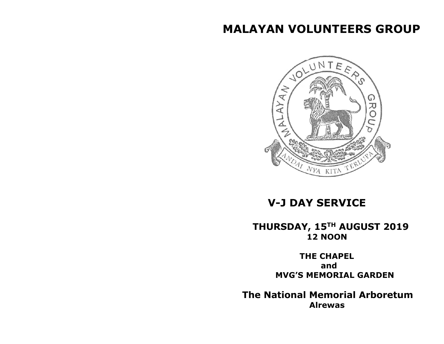# **MALAYAN VOLUNTEERS GROUP**



## **V-J DAY SERVICE**

### **THURSDAY, 15TH AUGUST 2019 12 NOON**

 **THE CHAPEL and MVG'S MEMORIAL GARDEN**

 **The National Memorial Arboretum Alrewas**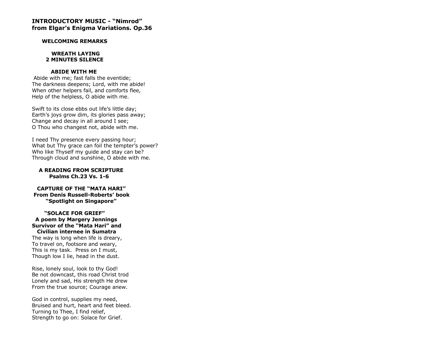#### **INTRODUCTORY MUSIC - "Nimrod" from Elgar's Enigma Variations. Op.36**

#### **WELCOMING REMARKS**

#### **WREATH LAYING 2 MINUTES SILENCE**

#### **ABIDE WITH ME**

Abide with me; fast falls the eventide; The darkness deepens; Lord, with me abide! When other helpers fail, and comforts flee, Help of the helpless, O abide with me.

Swift to its close ebbs out life's little day; Earth's joys grow dim, its glories pass away; Change and decay in all around I see; O Thou who changest not, abide with me.

I need Thy presence every passing hour; What but Thy grace can foil the tempter's power? Who like Thyself my guide and stay can be? Through cloud and sunshine, O abide with me.

#### **A READING FROM SCRIPTURE Psalms Ch.23 Vs. 1-6**

 **CAPTURE OF THE "MATA HARI" From Denis Russell-Roberts' book "Spotlight on Singapore"**

#### **"SOLACE FOR GRIEF" A poem by Margery Jennings Survivor of the "Mata Hari" and Civilian internee in Sumatra**

The way is long when life is dreary, To travel on, footsore and weary, This is my task. Press on I must, Though low I lie, head in the dust.

Rise, lonely soul, look to thy God! Be not downcast, this road Christ trod Lonely and sad, His strength He drew From the true source; Courage anew.

God in control, supplies my need, Bruised and hurt, heart and feet bleed. Turning to Thee, I find relief, Strength to go on: Solace for Grief.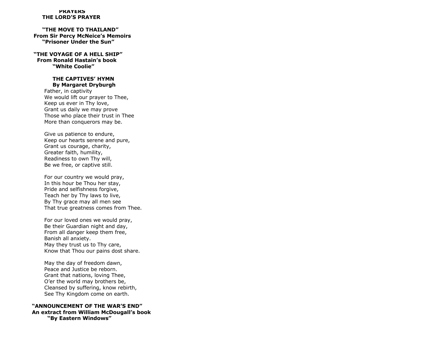#### **PRAYERS THE LORD'S PRAYER**

 **"THE MOVE TO THAILAND" From Sir Percy McNeice's Memoirs "Prisoner Under the Sun"**

**"THE VOYAGE OF A HELL SHIP" From Ronald Hastain's book "White Coolie"** 

#### **THE CAPTIVES' HYMN By Margaret Dryburgh**

 Father, in captivity We would lift our prayer to Thee, Keep us ever in Thy love, Grant us daily we may prove Those who place their trust in Thee More than conquerors may be.

 Give us patience to endure, Keep our hearts serene and pure, Grant us courage, charity, Greater faith, humility, Readiness to own Thy will, Be we free, or captive still.

 For our country we would pray, In this hour be Thou her stay, Pride and selfishness forgive, Teach her by Thy laws to live, By Thy grace may all men see That true greatness comes from Thee.

 For our loved ones we would pray, Be their Guardian night and day, From all danger keep them free, Banish all anxiety. May they trust us to Thy care, Know that Thou our pains dost share.

 May the day of freedom dawn, Peace and Justice be reborn. Grant that nations, loving Thee, O'er the world may brothers be, Cleansed by suffering, know rebirth, See Thy Kingdom come on earth.

#### **"ANNOUNCEMENT OF THE WAR'S END" An extract from William McDougall's book "By Eastern Windows"**